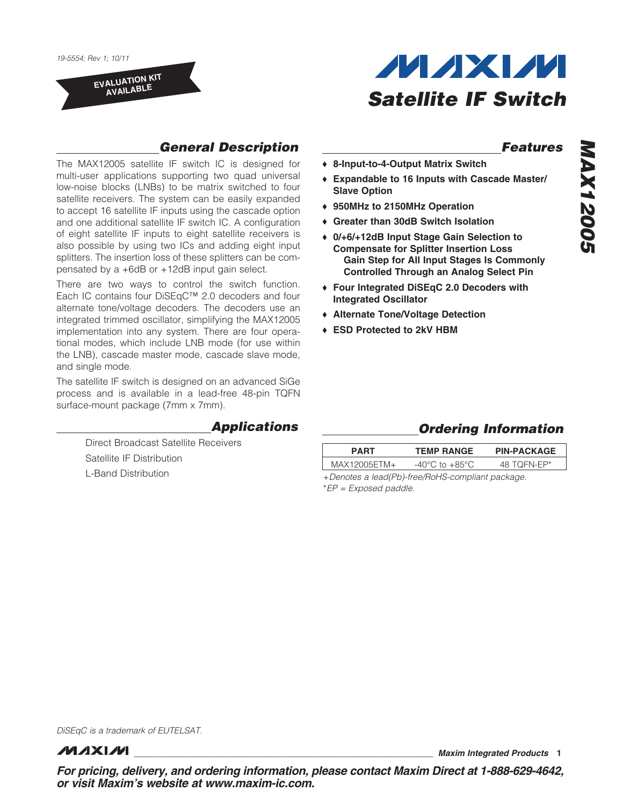EVALUATION KIT AVAILABLE



### *General Description*

The MAX12005 satellite IF switch IC is designed for multi-user applications supporting two quad universal low-noise blocks (LNBs) to be matrix switched to four satellite receivers. The system can be easily expanded to accept 16 satellite IF inputs using the cascade option and one additional satellite IF switch IC. A configuration of eight satellite IF inputs to eight satellite receivers is also possible by using two ICs and adding eight input splitters. The insertion loss of these splitters can be compensated by a +6dB or +12dB input gain select.

There are two ways to control the switch function. Each IC contains four DiSEqC™ 2.0 decoders and four alternate tone/voltage decoders. The decoders use an integrated trimmed oscillator, simplifying the MAX12005 implementation into any system. There are four operational modes, which include LNB mode (for use within the LNB), cascade master mode, cascade slave mode, and single mode.

The satellite IF switch is designed on an advanced SiGe process and is available in a lead-free 48-pin TQFN surface-mount package (7mm x 7mm).

#### *Applications*

Direct Broadcast Satellite Receivers Satellite IF Distribution L-Band Distribution

### ◆ 8-Input-to-4-Output Matrix Switch

 *Features*

- **+ Expandable to 16 Inputs with Cascade Master/** Slave Option
- ◆ 950MHz to 2150MHz Operation
- ◆ Greater than 30dB Switch Isolation
- ◆ 0/+6/+12dB Input Stage Gain Selection to Compensate for Splitter Insertion Loss Gain Step for All Input Stages Is Commonly Controlled Through an Analog Select Pin
- ◆ Four Integrated DiSEqC 2.0 Decoders with Integrated Oscillator
- + Alternate Tone/Voltage Detection
- + ESD Protected to 2kV HBM

#### *Ordering Information*

| <b>PART</b>    | <b>TEMP RANGE</b>                  | <b>PIN-PACKAGE</b> |
|----------------|------------------------------------|--------------------|
| $MAX12005FTM+$ | $-40^{\circ}$ C to $+85^{\circ}$ C | 48 TOFN-FP*        |
|                |                                    |                    |

+*Denotes a lead(Pb)-free/RoHS-compliant package.* \**EP = Exposed paddle.*

*DiSEqC is a trademark of EUTELSAT.*

**MAXM** 

\_\_\_\_\_\_\_\_\_\_\_\_\_\_\_\_\_\_\_\_\_\_\_\_\_\_\_\_\_\_\_\_\_\_\_\_\_\_\_\_\_\_\_\_\_\_\_\_\_\_\_\_\_\_\_\_\_\_\_\_\_\_\_ *Maxim Integrated Products* 1

*For pricing, delivery, and ordering information, please contact Maxim Direct at 1-888-629-4642, or visit Maxim's website at www.maxim-ic.com.*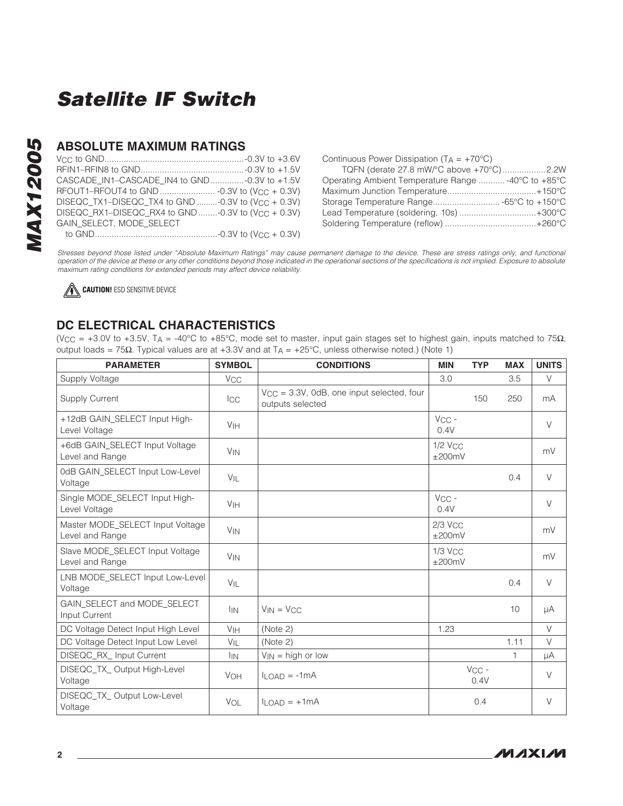### ABSOLUTE MAXIMUM RATINGS

| CASCADE_IN1-CASCADE_IN4 to GND-0.3V to +1.5V                   |  |
|----------------------------------------------------------------|--|
|                                                                |  |
| DISEQC TX1-DISEQC TX4 to GND -0.3V to (V <sub>CC</sub> + 0.3V) |  |
| DISEQC_RX1-DISEQC_RX4 to GND -0.3V to (V <sub>CC</sub> + 0.3V) |  |
| GAIN SELECT. MODE SELECT                                       |  |
|                                                                |  |

| Continuous Power Dissipation ( $T_A = +70^{\circ}C$ ) |  |
|-------------------------------------------------------|--|
| TQFN (derate 27.8 mW/°C above +70°C)2.2W              |  |
| Operating Ambient Temperature Range  -40°C to +85°C   |  |
|                                                       |  |
|                                                       |  |
| Lead Temperature (soldering, 10s) +300°C              |  |
|                                                       |  |

*Stresses beyond those listed under "Absolute Maximum Ratings" may cause permanent damage to the device. These are stress ratings only, and functional operation of the device at these or any other conditions beyond those indicated in the operational sections of the specifications is not implied. Exposure to absolute maximum rating conditions for extended periods may affect device reliability.*

**CAUTION!** ESD SENSITIVE DEVICE

### DC ELECTRICAL CHARACTERISTICS

(V<sub>CC</sub> = +3.0V to +3.5V, T<sub>A</sub> = -40°C to +85°C, mode set to master, input gain stages set to highest gain, inputs matched to 75 $\Omega$ , output loads =  $75\Omega$ . Typical values are at +3.3V and at TA = +25°C, unless otherwise noted.) (Note 1)

| <b>PARAMETER</b>                                    | <b>SYMBOL</b>         | <b>CONDITIONS</b>                                                  | <b>MIN</b>          | <b>TYP</b>      | <b>MAX</b> | <b>UNITS</b> |
|-----------------------------------------------------|-----------------------|--------------------------------------------------------------------|---------------------|-----------------|------------|--------------|
| Supply Voltage                                      | <b>V<sub>CC</sub></b> |                                                                    | 3.0                 |                 | 3.5        | V            |
| <b>Supply Current</b>                               | <b>ICC</b>            | $V_{CC}$ = 3.3V, 0dB, one input selected, four<br>outputs selected |                     | 150             | 250        | mA           |
| +12dB GAIN_SELECT Input High-<br>Level Voltage      | V <sub>IH</sub>       |                                                                    | $V_{CC}$ -<br>0.4V  |                 |            | $\vee$       |
| +6dB GAIN SELECT Input Voltage<br>Level and Range   | <b>V<sub>IN</sub></b> |                                                                    | $1/2$ Vcc<br>±200mV |                 |            | mV           |
| 0dB GAIN_SELECT Input Low-Level<br>Voltage          | $V_{IL}$              |                                                                    |                     |                 | 0.4        | $\vee$       |
| Single MODE SELECT Input High-<br>Level Voltage     | V <sub>IH</sub>       |                                                                    | $VCC -$<br>0.4V     |                 |            | $\vee$       |
| Master MODE_SELECT Input Voltage<br>Level and Range | <b>V<sub>IN</sub></b> |                                                                    | $2/3$ Vcc<br>±200mV |                 |            | mV           |
| Slave MODE_SELECT Input Voltage<br>Level and Range  | <b>V<sub>IN</sub></b> |                                                                    | $1/3$ Vcc<br>±200mV |                 |            | mV           |
| LNB MODE_SELECT Input Low-Level<br>Voltage          | VIL                   |                                                                    |                     |                 | 0.4        | $\vee$       |
| GAIN_SELECT and MODE_SELECT<br>Input Current        | <b>IIN</b>            | $V_{IN} = V_{CC}$                                                  |                     |                 | 10         | μA           |
| DC Voltage Detect Input High Level                  | V <sub>IH</sub>       | (Note 2)                                                           | 1.23                |                 |            | $\vee$       |
| DC Voltage Detect Input Low Level                   | $V_{IL}$              | (Note 2)                                                           |                     |                 | 1.11       | $\vee$       |
| DISEQC_RX_ Input Current                            | <b>IIN</b>            | $V_{IN}$ = high or low                                             |                     |                 | 1          | μA           |
| DISEQC_TX_ Output High-Level<br>Voltage             | <b>VOH</b>            | $II$ $\cap$ AD = -1 mA                                             |                     | $VCC -$<br>0.4V |            | $\vee$       |
| DISEQC_TX_Output Low-Level<br>Voltage               | VOL                   | $I$ <sub>LOAD</sub> = $+1$ mA                                      |                     | 0.4             |            | $\vee$       |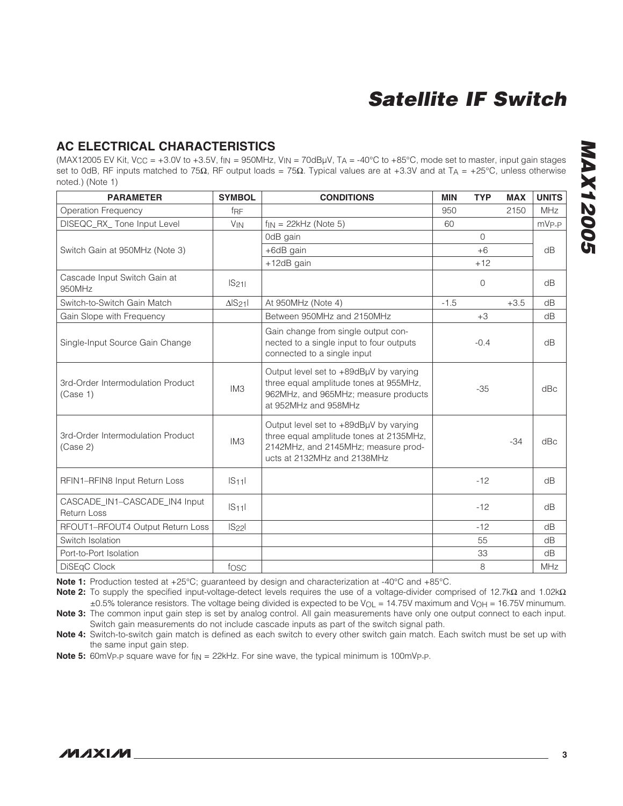#### AC ELECTRICAL CHARACTERISTICS

(MAX12005 EV Kit, V<sub>CC</sub> = +3.0V to +3.5V, f|N = 950MHz, V|N = 70dBµV, TA = -40°C to +85°C, mode set to master, input gain stages set to 0dB, RF inputs matched to 75 $\Omega$ , RF output loads = 75 $\Omega$ . Typical values are at +3.3V and at T<sub>A</sub> = +25°C, unless otherwise noted.) (Note 1)

| <b>PARAMETER</b>                                    | <b>SYMBOL</b>         | <b>CONDITIONS</b>                                                                                                                                       | <b>MIN</b> | <b>TYP</b>     | <b>MAX</b> | <b>UNITS</b>      |
|-----------------------------------------------------|-----------------------|---------------------------------------------------------------------------------------------------------------------------------------------------------|------------|----------------|------------|-------------------|
| <b>Operation Frequency</b>                          | f <sub>RF</sub>       |                                                                                                                                                         | 950        |                | 2150       | <b>MHz</b>        |
| DISEQC_RX_ Tone Input Level                         | <b>V<sub>IN</sub></b> | $f_{IN}$ = 22 $kHz$ (Note 5)                                                                                                                            | 60         |                |            | mV <sub>P-P</sub> |
|                                                     |                       | 0dB gain                                                                                                                                                |            | $\bigcap$      |            |                   |
| Switch Gain at 950MHz (Note 3)                      |                       | +6dB gain                                                                                                                                               |            | $+6$           |            | dB                |
|                                                     |                       | +12dB gain                                                                                                                                              |            | $+12$          |            |                   |
| Cascade Input Switch Gain at<br>950MHz              | IS <sub>21</sub>      |                                                                                                                                                         |            | $\overline{0}$ |            | dB                |
| Switch-to-Switch Gain Match                         | $\Delta$ $S_{21}$     | At 950MHz (Note 4)                                                                                                                                      | $-1.5$     |                | $+3.5$     | dB                |
| Gain Slope with Frequency                           |                       | Between 950MHz and 2150MHz                                                                                                                              |            | $+3$           |            | dB                |
| Single-Input Source Gain Change                     |                       | Gain change from single output con-<br>nected to a single input to four outputs<br>connected to a single input                                          |            | $-0.4$         |            | dB                |
| 3rd-Order Intermodulation Product<br>(Case 1)       | IM3                   | Output level set to +89dBµV by varying<br>three equal amplitude tones at 955MHz,<br>962MHz, and 965MHz; measure products<br>at 952MHz and 958MHz        |            | $-35$          |            | dBc               |
| 3rd-Order Intermodulation Product<br>(Case 2)       | IM <sub>3</sub>       | Output level set to +89dBµV by varying<br>three equal amplitude tones at 2135MHz,<br>2142MHz, and 2145MHz; measure prod-<br>ucts at 2132MHz and 2138MHz |            |                | $-34$      | dBc               |
| RFIN1-RFIN8 Input Return Loss                       | $ S_{11} $            |                                                                                                                                                         |            | $-12$          |            | dB                |
| CASCADE_IN1-CASCADE_IN4 Input<br><b>Return Loss</b> | $ S_11 $              |                                                                                                                                                         |            | $-12$          |            | dB                |
| RFOUT1-RFOUT4 Output Return Loss                    | $ S_{22} $            |                                                                                                                                                         |            | $-12$          |            | dB                |
| Switch Isolation                                    |                       |                                                                                                                                                         |            | 55             |            | dB                |
| Port-to-Port Isolation                              |                       |                                                                                                                                                         |            | 33             |            | dB                |
| DiSEqC Clock                                        | fosc                  |                                                                                                                                                         |            | 8              |            | <b>MHz</b>        |

Note 1: Production tested at +25°C; guaranteed by design and characterization at -40°C and +85°C.

Note 2: To supply the specified input-voltage-detect levels requires the use of a voltage-divider comprised of 12.7k $\Omega$  and 1.02k $\Omega$  $\pm 0.5\%$  tolerance resistors. The voltage being divided is expected to be V<sub>OL</sub> = 14.75V maximum and V<sub>OH</sub> = 16.75V minumum. Note 3: The common input gain step is set by analog control. All gain measurements have only one output connect to each input. Switch gain measurements do not include cascade inputs as part of the switch signal path.

Note 4: Switch-to-switch gain match is defined as each switch to every other switch gain match. Each switch must be set up with the same input gain step.

**Note 5:** 60mVp-p square wave for  $f_{\text{IN}} = 22$ kHz. For sine wave, the typical minimum is 100mVp-p.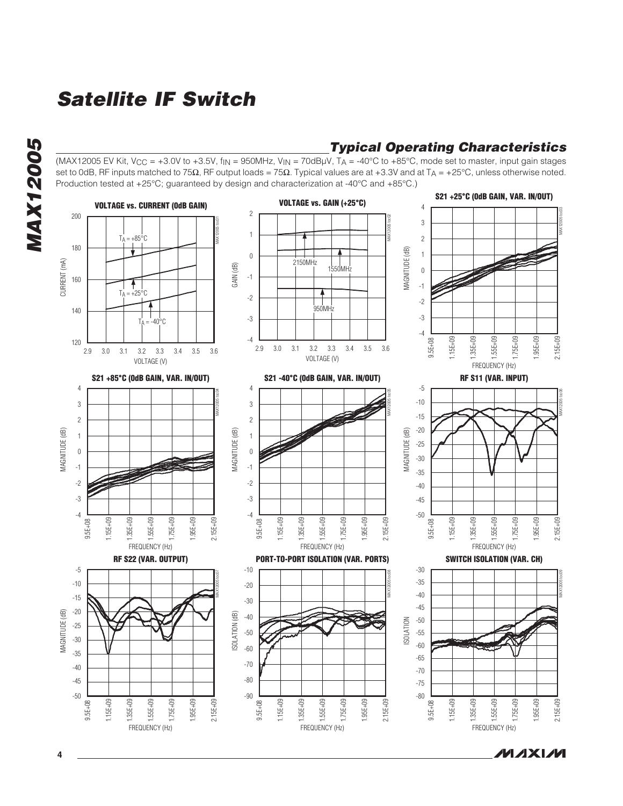

### *Typical Operating Characteristics*

(MAX12005 EV Kit, V<sub>CC</sub> = +3.0V to +3.5V, f<sub>IN</sub> = 950MHz, V<sub>IN</sub> = 70dBµV, T<sub>A</sub> = -40°C to +85°C, mode set to master, input gain stages set to 0dB, RF inputs matched to 75 $\Omega$ , RF output loads = 75 $\Omega$ . Typical values are at +3.3V and at T<sub>A</sub> = +25°C, unless otherwise noted. Production tested at  $+25^{\circ}$ C; guaranteed by design and characterization at -40 $^{\circ}$ C and +85 $^{\circ}$ C.)



ルレスメリル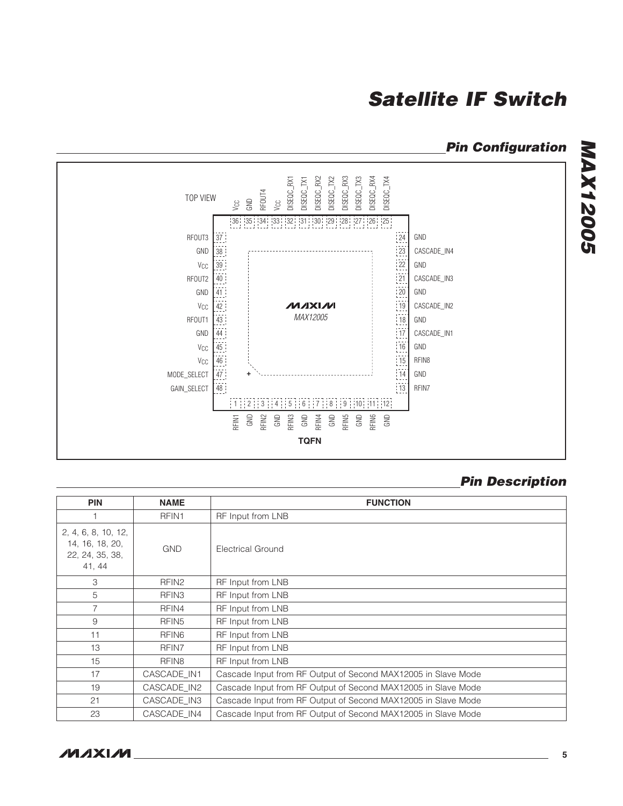### *Pin Configuration*



### *Pin Description*

| <b>PIN</b>                                                          | <b>NAME</b>       | <b>FUNCTION</b>                                               |
|---------------------------------------------------------------------|-------------------|---------------------------------------------------------------|
|                                                                     | RFIN1             | RF Input from LNB                                             |
| 2, 4, 6, 8, 10, 12,<br>14, 16, 18, 20,<br>22, 24, 35, 38,<br>41, 44 | <b>GND</b>        | Electrical Ground                                             |
| З                                                                   | RFIN <sub>2</sub> | RF Input from LNB                                             |
| 5                                                                   | RFIN <sub>3</sub> | RF Input from LNB                                             |
| 7                                                                   | RFIN4             | RF Input from LNB                                             |
| 9                                                                   | RFIN <sub>5</sub> | RF Input from LNB                                             |
| 11                                                                  | RFIN <sub>6</sub> | RF Input from LNB                                             |
| 13                                                                  | RFIN7             | RF Input from LNB                                             |
| 15                                                                  | RFIN <sub>8</sub> | RF Input from LNB                                             |
| 17                                                                  | CASCADE IN1       | Cascade Input from RF Output of Second MAX12005 in Slave Mode |
| 19                                                                  | CASCADE_IN2       | Cascade Input from RF Output of Second MAX12005 in Slave Mode |
| 21                                                                  | CASCADE IN3       | Cascade Input from RF Output of Second MAX12005 in Slave Mode |
| 23                                                                  | CASCADE IN4       | Cascade Input from RF Output of Second MAX12005 in Slave Mode |

**MAX12005** *MAX12005*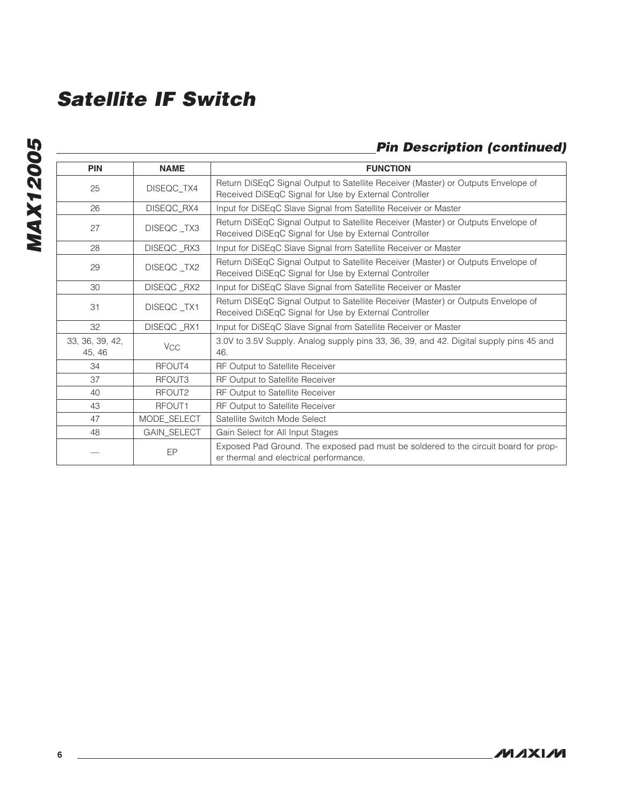# **MAX12005** *MAX12005*

### *Pin Description (continued)*

| <b>PIN</b>                | <b>NAME</b> | <b>FUNCTION</b>                                                                                                                            |
|---------------------------|-------------|--------------------------------------------------------------------------------------------------------------------------------------------|
| 25                        | DISEQC_TX4  | Return DiSEqC Signal Output to Satellite Receiver (Master) or Outputs Envelope of<br>Received DiSEqC Signal for Use by External Controller |
| 26                        | DISEQC_RX4  | Input for DiSEqC Slave Signal from Satellite Receiver or Master                                                                            |
| 27                        | DISEQC_TX3  | Return DiSEqC Signal Output to Satellite Receiver (Master) or Outputs Envelope of<br>Received DiSEqC Signal for Use by External Controller |
| 28                        | DISEQC_RX3  | Input for DiSEqC Slave Signal from Satellite Receiver or Master                                                                            |
| 29                        | DISEQC_TX2  | Return DiSEqC Signal Output to Satellite Receiver (Master) or Outputs Envelope of<br>Received DiSEqC Signal for Use by External Controller |
| 30                        | DISEQC_RX2  | Input for DiSEqC Slave Signal from Satellite Receiver or Master                                                                            |
| 31                        | DISEQC_TX1  | Return DiSEqC Signal Output to Satellite Receiver (Master) or Outputs Envelope of<br>Received DiSEqC Signal for Use by External Controller |
| 32                        | DISEQC_RX1  | Input for DiSEqC Slave Signal from Satellite Receiver or Master                                                                            |
| 33, 36, 39, 42,<br>45, 46 | <b>VCC</b>  | 3.0V to 3.5V Supply. Analog supply pins 33, 36, 39, and 42. Digital supply pins 45 and<br>46.                                              |
| 34                        | RFOUT4      | RF Output to Satellite Receiver                                                                                                            |
| 37                        | RFOUT3      | RF Output to Satellite Receiver                                                                                                            |
| 40                        | RFOUT2      | RF Output to Satellite Receiver                                                                                                            |
| 43                        | RFOUT1      | RF Output to Satellite Receiver                                                                                                            |
| 47                        | MODE_SELECT | Satellite Switch Mode Select                                                                                                               |
| 48                        | GAIN_SELECT | Gain Select for All Input Stages                                                                                                           |
|                           | EP          | Exposed Pad Ground. The exposed pad must be soldered to the circuit board for prop-<br>er thermal and electrical performance.              |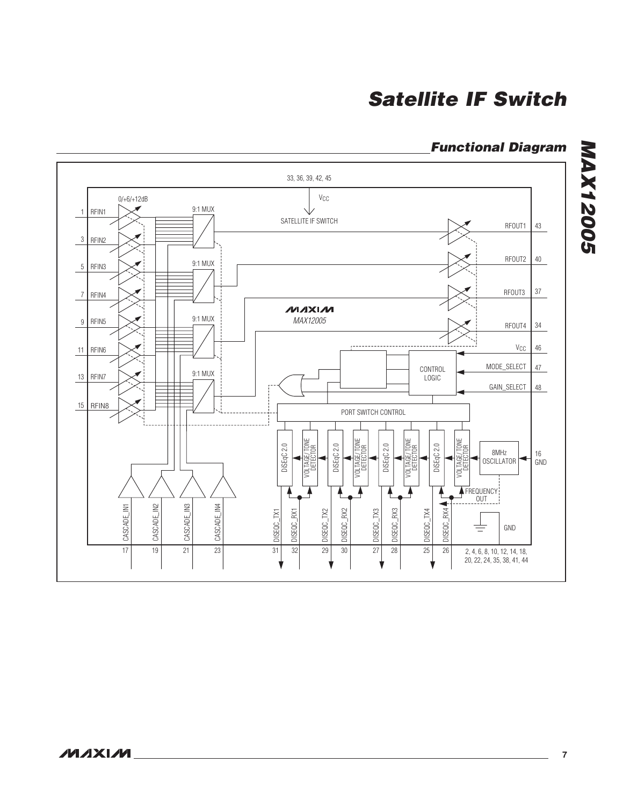## *Functional Diagram*

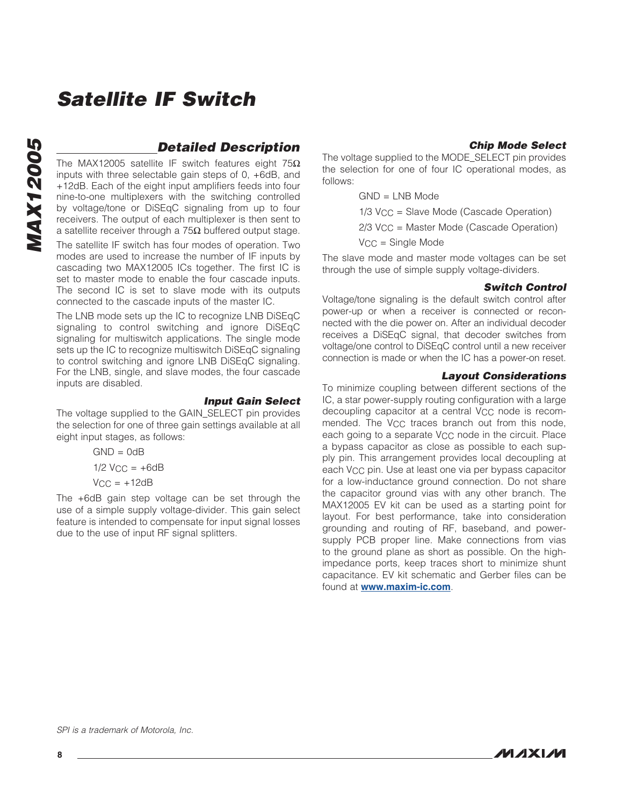#### *Detailed Description*

The MAX12005 satellite IF switch features eight  $75\Omega$ inputs with three selectable gain steps of 0, +6dB, and +12dB. Each of the eight input amplifiers feeds into four nine-to-one multiplexers with the switching controlled by voltage/tone or DiSEqC signaling from up to four receivers. The output of each multiplexer is then sent to a satellite receiver through a  $75\Omega$  buffered output stage.

The satellite IF switch has four modes of operation. Two modes are used to increase the number of IF inputs by cascading two MAX12005 ICs together. The first IC is set to master mode to enable the four cascade inputs. The second IC is set to slave mode with its outputs connected to the cascade inputs of the master IC.

The LNB mode sets up the IC to recognize LNB DiSEqC signaling to control switching and ignore DiSEqC signaling for multiswitch applications. The single mode sets up the IC to recognize multiswitch DiSEqC signaling to control switching and ignore LNB DiSEqC signaling. For the LNB, single, and slave modes, the four cascade inputs are disabled.

#### *Input Gain Select*

The voltage supplied to the GAIN\_SELECT pin provides the selection for one of three gain settings available at all eight input stages, as follows:

 $GND = OdB$ 

 $1/2$  Vcc =  $+6dB$ 

 $V_{CC} = +12dB$ 

The +6dB gain step voltage can be set through the use of a simple supply voltage-divider. This gain select feature is intended to compensate for input signal losses due to the use of input RF signal splitters.

#### *Chip Mode Select*

The voltage supplied to the MODE\_SELECT pin provides the selection for one of four IC operational modes, as follows:

GND = LNB Mode

1/3 VCC = Slave Mode (Cascade Operation)

 $2/3$  V<sub>CC</sub> = Master Mode (Cascade Operation)

 $V_{CC}$  = Single Mode

The slave mode and master mode voltages can be set through the use of simple supply voltage-dividers.

#### *Switch Control*

Voltage/tone signaling is the default switch control after power-up or when a receiver is connected or reconnected with the die power on. After an individual decoder receives a DiSEqC signal, that decoder switches from voltage/one control to DiSEqC control until a new receiver connection is made or when the IC has a power-on reset.

#### *Layout Considerations*

To minimize coupling between different sections of the IC, a star power-supply routing configuration with a large decoupling capacitor at a central VCC node is recommended. The V<sub>CC</sub> traces branch out from this node, each going to a separate  $V_{CC}$  node in the circuit. Place a bypass capacitor as close as possible to each supply pin. This arrangement provides local decoupling at each V<sub>CC</sub> pin. Use at least one via per bypass capacitor for a low-inductance ground connection. Do not share the capacitor ground vias with any other branch. The MAX12005 EV kit can be used as a starting point for layout. For best performance, take into consideration grounding and routing of RF, baseband, and powersupply PCB proper line. Make connections from vias to the ground plane as short as possible. On the highimpedance ports, keep traces short to minimize shunt capacitance. EV kit schematic and Gerber files can be found at [www.maxim-ic.com](http://www.maxim-ic.com).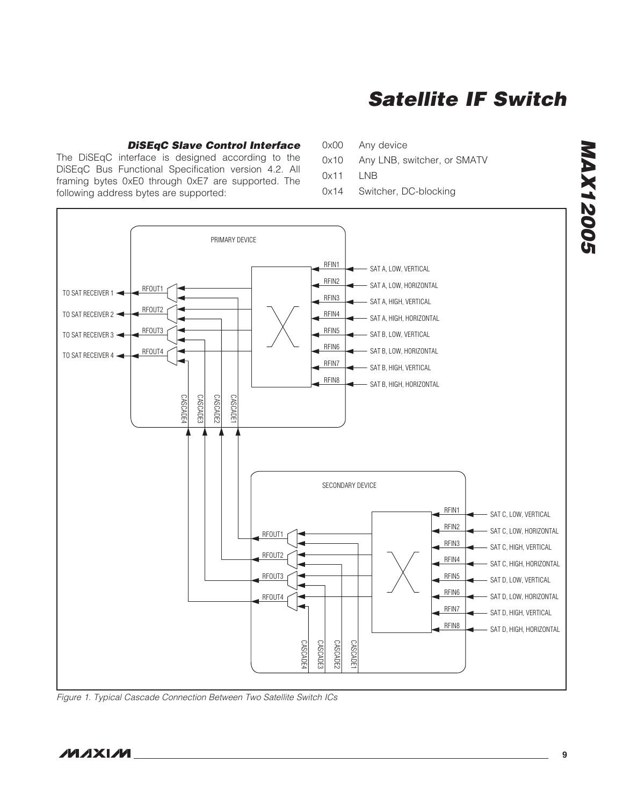#### *DiSEqC Slave Control Interface*

The DiSEqC interface is designed according to the DiSEqC Bus Functional Specification version 4.2. All framing bytes 0xE0 through 0xE7 are supported. The following address bytes are supported:

0x00 Any device

- 0x10 Any LNB, switcher, or SMATV
- 0x11 LNB
- 0x14 Switcher, DC-blocking



*Figure 1. Typical Cascade Connection Between Two Satellite Switch ICs*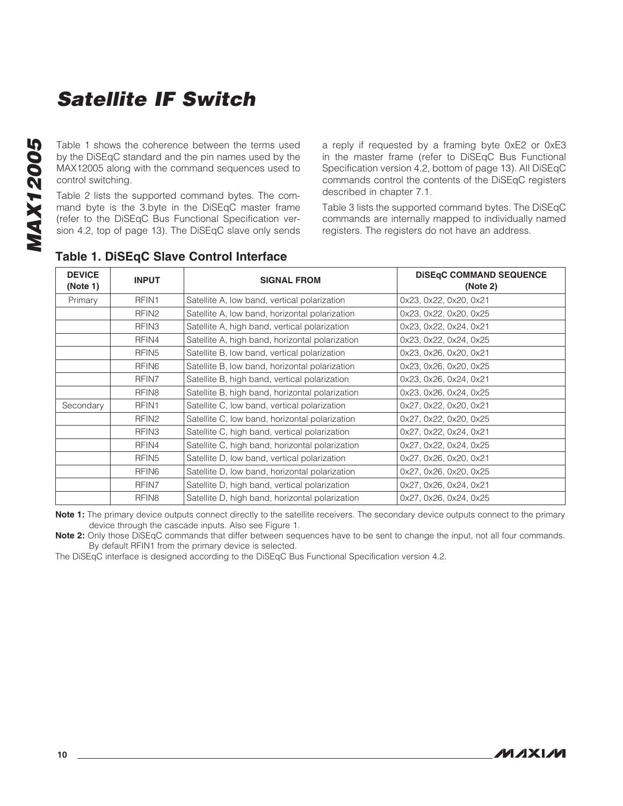**MAX12005** *MAX12005*

Table 1 shows the coherence between the terms used by the DiSEqC standard and the pin names used by the MAX12005 along with the command sequences used to control switching.

Table 2 lists the supported command bytes. The command byte is the 3.byte in the DiSEqC master frame (refer to the DiSEqC Bus Functional Specification version 4.2, top of page 13). The DiSEqC slave only sends a reply if requested by a framing byte 0xE2 or 0xE3 in the master frame (refer to DiSEqC Bus Functional Specification version 4.2, bottom of page 13). All DiSEqC commands control the contents of the DiSEqC registers described in chapter 7.1.

Table 3 lists the supported command bytes. The DiSEqC commands are internally mapped to individually named registers. The registers do not have an address.

| <b>DEVICE</b><br>(Note 1) | <b>INPUT</b>      | <b>SIGNAL FROM</b>                              | <b>DISEqC COMMAND SEQUENCE</b><br>(Note 2) |
|---------------------------|-------------------|-------------------------------------------------|--------------------------------------------|
| Primary                   | RFIN1             | Satellite A, low band, vertical polarization    | 0x23, 0x22, 0x20, 0x21                     |
|                           | RFIN <sub>2</sub> | Satellite A, low band, horizontal polarization  | 0x23, 0x22, 0x20, 0x25                     |
|                           | RFIN <sub>3</sub> | Satellite A, high band, vertical polarization   | 0x23, 0x22, 0x24, 0x21                     |
|                           | RFIN4             | Satellite A, high band, horizontal polarization | 0x23, 0x22, 0x24, 0x25                     |
|                           | RFIN <sub>5</sub> | Satellite B, low band, vertical polarization    | 0x23, 0x26, 0x20, 0x21                     |
|                           | RFIN <sub>6</sub> | Satellite B, low band, horizontal polarization  | 0x23, 0x26, 0x20, 0x25                     |
|                           | RFIN7             | Satellite B, high band, vertical polarization   | 0x23, 0x26, 0x24, 0x21                     |
|                           | RFIN <sub>8</sub> | Satellite B, high band, horizontal polarization | 0x23, 0x26, 0x24, 0x25                     |
| Secondary                 | RFIN1             | Satellite C, low band, vertical polarization    | 0x27, 0x22, 0x20, 0x21                     |
|                           | RFIN <sub>2</sub> | Satellite C, low band, horizontal polarization  | 0x27, 0x22, 0x20, 0x25                     |
|                           | RFIN <sub>3</sub> | Satellite C, high band, vertical polarization   | 0x27, 0x22, 0x24, 0x21                     |
|                           | RFIN4             | Satellite C, high band, horizontal polarization | 0x27, 0x22, 0x24, 0x25                     |
|                           | RFIN <sub>5</sub> | Satellite D, low band, vertical polarization    | 0x27, 0x26, 0x20, 0x21                     |
|                           | RFIN <sub>6</sub> | Satellite D, low band, horizontal polarization  | 0x27, 0x26, 0x20, 0x25                     |
|                           | RFIN7             | Satellite D, high band, vertical polarization   | 0x27, 0x26, 0x24, 0x21                     |
|                           | RFIN <sub>8</sub> | Satellite D, high band, horizontal polarization | 0x27, 0x26, 0x24, 0x25                     |

#### Table 1. DiSEqC Slave Control Interface

Note 1: The primary device outputs connect directly to the satellite receivers. The secondary device outputs connect to the primary device through the cascade inputs. Also see Figure 1.

Note 2: Only those DiSEqC commands that differ between sequences have to be sent to change the input, not all four commands. By default RFIN1 from the primary device is selected.

The DiSEqC interface is designed according to the DiSEqC Bus Functional Specification version 4.2.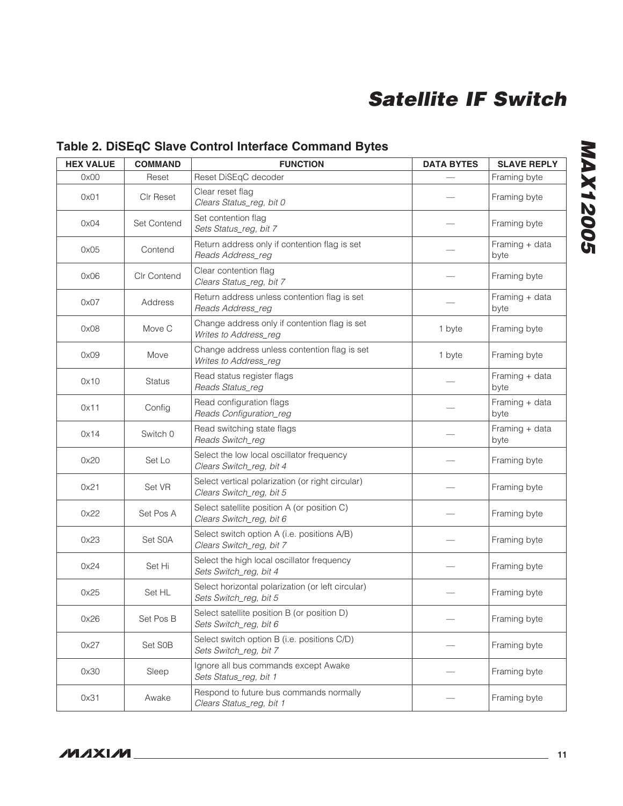### Table 2. DiSEqC Slave Control Interface Command Bytes

| <b>HEX VALUE</b> | <b>COMMAND</b>     | <b>FUNCTION</b>                                                              | <b>DATA BYTES</b> | <b>SLAVE REPLY</b>     |
|------------------|--------------------|------------------------------------------------------------------------------|-------------------|------------------------|
| 0x00             | Reset              | Reset DiSEqC decoder                                                         |                   | Framing byte           |
| 0x01             | <b>CIr Reset</b>   | Clear reset flag<br>Clears Status_reg, bit 0                                 |                   | Framing byte           |
| 0x04             | <b>Set Contend</b> | Set contention flag<br>Sets Status_reg, bit 7                                |                   | Framing byte           |
| 0x05             | Contend            | Return address only if contention flag is set<br>Reads Address_reg           |                   | Framing + data<br>byte |
| 0x06             | Clr Contend        | Clear contention flag<br>Clears Status_reg, bit 7                            |                   | Framing byte           |
| 0x07             | Address            | Return address unless contention flag is set<br>Reads Address_reg            |                   | Framing + data<br>byte |
| 0x08             | Move C             | Change address only if contention flag is set<br>Writes to Address_reg       | 1 byte            | Framing byte           |
| 0x09             | Move               | Change address unless contention flag is set<br>Writes to Address_reg        | 1 byte            | Framing byte           |
| 0x10             | Status             | Read status register flags<br>Reads Status_reg                               |                   | Framing + data<br>byte |
| 0x11             | Config             | Read configuration flags<br>Reads Configuration_reg                          |                   | Framing + data<br>byte |
| 0x14             | Switch 0           | Read switching state flags<br>Reads Switch_reg                               |                   | Framing + data<br>byte |
| 0x20             | Set Lo             | Select the low local oscillator frequency<br>Clears Switch_reg, bit 4        |                   | Framing byte           |
| 0x21             | Set VR             | Select vertical polarization (or right circular)<br>Clears Switch_reg, bit 5 |                   | Framing byte           |
| 0x22             | Set Pos A          | Select satellite position A (or position C)<br>Clears Switch_reg, bit 6      |                   | Framing byte           |
| 0x23             | Set S0A            | Select switch option A (i.e. positions A/B)<br>Clears Switch_reg, bit 7      |                   | Framing byte           |
| 0x24             | Set Hi             | Select the high local oscillator frequency<br>Sets Switch_reg, bit 4         |                   | Framing byte           |
| 0x25             | Set HL             | Select horizontal polarization (or left circular)<br>Sets Switch_reg, bit 5  |                   | Framing byte           |
| 0x26             | Set Pos B          | Select satellite position B (or position D)<br>Sets Switch_reg, bit 6        |                   | Framing byte           |
| 0x27             | Set S0B            | Select switch option B (i.e. positions C/D)<br>Sets Switch_reg, bit 7        |                   | Framing byte           |
| 0x30             | Sleep              | Ignore all bus commands except Awake<br>Sets Status_reg, bit 1               |                   | Framing byte           |
| 0x31             | Awake              | Respond to future bus commands normally<br>Clears Status_reg, bit 1          |                   | Framing byte           |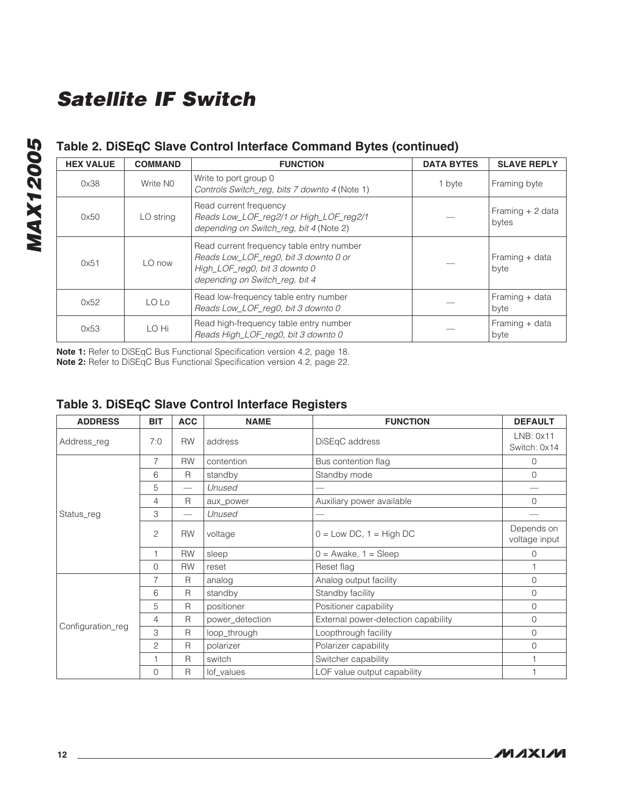### Table 2. DiSEqC Slave Control Interface Command Bytes (continued)

| <b>HEX VALUE</b> | <b>COMMAND</b> | <b>FUNCTION</b>                                                                                                                                       | <b>DATA BYTES</b> | <b>SLAVE REPLY</b>         |
|------------------|----------------|-------------------------------------------------------------------------------------------------------------------------------------------------------|-------------------|----------------------------|
| 0x38             | Write NO       | Write to port group 0<br>Controls Switch reg. bits 7 downto 4 (Note 1)                                                                                | 1 byte            | Framing byte               |
| 0x50             | LO string      | Read current frequency<br>Reads Low_LOF_reg2/1 or High_LOF_reg2/1<br>depending on Switch_reg, bit 4 (Note 2)                                          |                   | Framing $+2$ data<br>bytes |
| 0x51             | LO now         | Read current frequency table entry number<br>Reads Low_LOF_reg0, bit 3 downto 0 or<br>High_LOF_reg0, bit 3 downto 0<br>depending on Switch reg. bit 4 |                   | Framing + data<br>byte     |
| 0x52             | LO Lo          | Read low-frequency table entry number<br>Reads Low_LOF_reg0, bit 3 downto 0                                                                           |                   | Framing + data<br>byte     |
| 0x53             | LO Hi          | Read high-frequency table entry number<br>Reads High_LOF_reg0, bit 3 downto 0                                                                         |                   | Framing + data<br>byte     |

Note 1: Refer to DiSEqC Bus Functional Specification version 4.2, page 18. Note 2: Refer to DiSEqC Bus Functional Specification version 4.2, page 22.

|  |  | Table 3. DiSEqC Slave Control Interface Registers |
|--|--|---------------------------------------------------|
|  |  |                                                   |

| <b>ADDRESS</b>    | <b>BIT</b>     | <b>ACC</b>               | <b>NAME</b>     | <b>FUNCTION</b>                     | <b>DEFAULT</b>              |
|-------------------|----------------|--------------------------|-----------------|-------------------------------------|-----------------------------|
| Address_reg       | 7:0            | <b>RW</b>                | address         | DiSEqC address                      | LNB: 0x11<br>Switch: 0x14   |
|                   | $\overline{7}$ | <b>RW</b>                | contention      | Bus contention flag                 | 0                           |
|                   | 6              | R                        | standby         | Standby mode                        |                             |
|                   | 5              |                          | Unused          |                                     |                             |
|                   | 4              | R                        | aux_power       | Auxiliary power available           | 0                           |
| Status_reg        | 3              | $\overline{\phantom{0}}$ | Unused          |                                     |                             |
|                   | $\overline{c}$ | <b>RW</b>                | voltage         | $0 = Low DC$ , $1 = High DC$        | Depends on<br>voltage input |
|                   | 1              | <b>RW</b>                | sleep           | $0 =$ Awake, $1 =$ Sleep            | 0                           |
|                   | $\Omega$       | <b>RW</b>                | reset           | Reset flag                          |                             |
|                   | 7              | R                        | analog          | Analog output facility              | $\circ$                     |
|                   | 6              | R                        | standby         | Standby facility                    | 0                           |
|                   | 5              | R                        | positioner      | Positioner capability               | $\mathbf{0}$                |
|                   | $\overline{4}$ | R                        | power_detection | External power-detection capability | $\overline{0}$              |
| Configuration_reg | 3              | R                        | loop_through    | Loopthrough facility                | $\mathbf{0}$                |
|                   | 2              | R                        | polarizer       | Polarizer capability                | 0                           |
|                   | 1              | R                        | switch          | Switcher capability                 |                             |
|                   | $\overline{0}$ | R                        | lof_values      | LOF value output capability         |                             |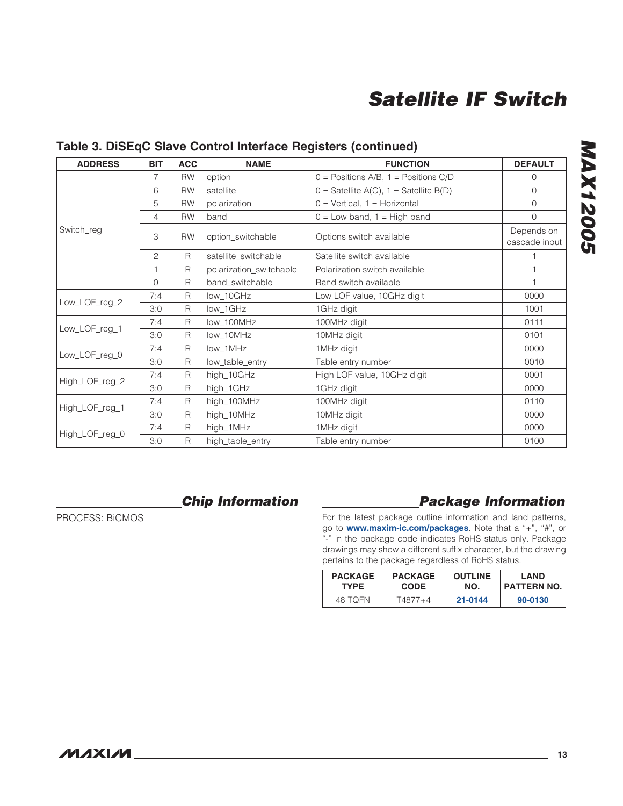### Table 3. DiSEqC Slave Control Interface Registers (continued)

| <b>ADDRESS</b> | <b>BIT</b>     | <b>ACC</b>   | <b>NAME</b>             | <b>FUNCTION</b>                            | <b>DEFAULT</b>              |
|----------------|----------------|--------------|-------------------------|--------------------------------------------|-----------------------------|
| Switch_reg     | 7              | <b>RW</b>    | option                  | $0 =$ Positions A/B, 1 = Positions C/D     | $\overline{0}$              |
|                | 6              | <b>RW</b>    | satellite               | $0 =$ Satellite A(C), $1 =$ Satellite B(D) | $\overline{0}$              |
|                | 5              | <b>RW</b>    | polarization            | $0 = V$ ertical, 1 = Horizontal            | $\overline{0}$              |
|                | $\overline{4}$ | <b>RW</b>    | band                    | $0 = Low$ band, $1 = High$ band            | $\Omega$                    |
|                | 3              | <b>RW</b>    | option_switchable       | Options switch available                   | Depends on<br>cascade input |
|                | $\overline{c}$ | R            | satellite_switchable    | Satellite switch available                 |                             |
|                | 1              | R            | polarization_switchable | Polarization switch available              |                             |
|                | $\Omega$       | R            | band_switchable         | Band switch available                      | 1                           |
| Low_LOF_reg_2  | 7:4            | $\mathsf{R}$ | low_10GHz               | Low LOF value, 10GHz digit                 | 0000                        |
|                | 3:0            | R            | low_1GHz                | 1GHz digit                                 | 1001                        |
| Low_LOF_reg_1  | 7:4            | R            | low_100MHz              | 100MHz digit                               | 0111                        |
|                | 3:0            | $\mathsf{R}$ | low_10MHz               | 10MHz digit                                | 0101                        |
| Low_LOF_reg_0  | 7:4            | $\mathsf{R}$ | low_1MHz                | 1MHz digit                                 | 0000                        |
|                | 3:0            | R            | low_table_entry         | Table entry number                         | 0010                        |
| High_LOF_reg_2 | 7:4            | $\mathsf{R}$ | high_10GHz              | High LOF value, 10GHz digit                | 0001                        |
|                | 3:0            | $\mathsf{R}$ | high_1GHz               | 1GHz digit                                 | 0000                        |
| High_LOF_reg_1 | 7:4            | R            | high_100MHz             | 100MHz digit                               | 0110                        |
|                | 3:0            | $\mathsf{R}$ | high_10MHz              | 10MHz digit                                | 0000                        |
| High_LOF_reg_0 | 7:4            | $\mathsf{R}$ | high_1MHz               | 1MHz digit                                 | 0000                        |
|                | 3:0            | R            | high_table_entry        | Table entry number                         | 0100                        |

PROCESS: BiCMOS

### *Chip Information*

### *Package Information*

For the latest package outline information and land patterns, go to **www.maxim-ic.com/packages**. Note that a "+", "#", or "-" in the package code indicates RoHS status only. Package drawings may show a different suffix character, but the drawing pertains to the package regardless of RoHS status.

| <b>PACKAGE</b> | <b>PACKAGE</b> | <b>OUTLINE</b> | I AND              |
|----------------|----------------|----------------|--------------------|
| <b>TYPE</b>    | <b>CODE</b>    | NO.            | <b>PATTERN NO.</b> |
| 48 TOFN        | T4877+4        | 21-0144        | 90-0130            |